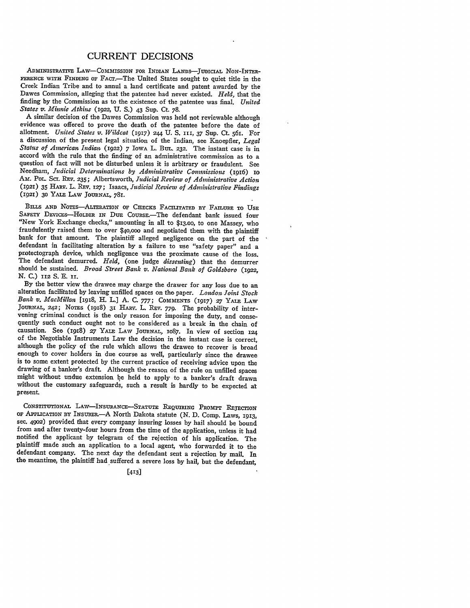## CURRENT DECISIONS

**ADmINISTRATIvE LAw-CoMMISSION FOR INDIAN LANDS-JUDICIAL** NoN-INTER-**FERENCE WITH FINDING OF** FAcr.-The United States sought to quiet title in the Creek Indian Tribe and to annul a land certificate and patent awarded **by** the Dawes Commission, alleging that the patentee had never existed. *Held,* that the finding **by** the Commission as to the existence of the patentee was final. *United States v. Minnie Atkins* (922, **U. S.)** 43 Sup. Ct. **78.**

A similar decision of the Dawes Commission was held not reviewable although evidence was offered to prove the death of the patentee before the date of allotment. *United States v. Wildcat* (1917) **244 U.** S. **III,** 37 Sup. Ct. 561. For a discussion of the present legal situation of the Indian, see Knoepfler, *Legal Status of American Indian* (1922) 7 IowA L. BuL. **232.** The instant case is in accord with the rule that the finding of an administrative commission as to a question of fact will not be disturbed unless it is arbitrary or fraudulent. See Needham, *Judicial Determinations by Administrative Commissions* (1916) **Io** Am. Pol. Sci. REv. 235; Albertsworth, *Judicial Review of Administrative Action* (1921) **35** HARV. L. REv. *127;* Isaacs, *Judicial Review of Administrative Findings* **(92) 30 YALE** LAW **JOURNAL,** 781.

**BILLS AND NOTES-ALTERATION OF CHECKS FACILITATED BY FAILURE To USE** SAFETY DEVICES-HOLDER IN DUE COURSE.-The defendant bank issued four "New York Exchange checks," amounting in all to **\$13.00,** to one Massey, who fraudulently raised them to over \$40,000 and negotiated them with the plaintiff bank for that amount. The plaintiff alleged negligence on the part of the defendant in facilitating alteration **by** a failure to use "safety paper" and a protectograph device, which negligence was the proximate cause of the loss. The defendant demurred. *Held,* (one judge *dissenting)* that the demurrer should be sustained. *Broad Street Bank v. National Bank of Goldsboro* **(1922, N. C.) 112 S. E. II.**

**By** the better view the drawee may charge the drawer for any loss due to an alteration facilitated by leaving unfilled spaces on the paper. *London Joint Stock Bank v. MacMillan* [1918, H. **L.]** A. C. 777; **COMMENTS** (1917) **27 YALE** LAW JOURNAL, *242;* NOTES **(1918) 31** HARv. L. **REV.** 779. The probability of intervening criminal conduct is the only reason for imposing the duty, and conse- quently such conduct ought not to be considered as a break in the chain of causation. See (1918) *27* YALE LAW **JOURNAL, 1087.** In view of section **<sup>124</sup>** of the Negotiable Instruments Law the decision in the instant case is correct, although the policy of the rule which allows the drawee to recover is broad enough to cover holders in due course as well, particularly since the drawee is to some extent protected **by** the current practice of receiving advice upon the drawing of a banker's draft. Although the reason of the rule on unfilled spaces might without undue extension be held to apply to a banker's draft drawn without the customary safeguards, such a result is hardly to be expected at present

CONSTITUTIONAL LAW-INSURANCE-STATUTE REQUIRING PROMPT REJECTION **OF APPLICATION BY INsURER.-A** North Dakota statute **(N.** D. Comp. Laws, *1913,* sec. 49o2) provided that every company insuring losses by hail should be bound from and after twenty-four hours from the time of the application, unless it had notified the applicant by telegram of the rejection of his application. The plaintiff made such an application to a local agent, who forwarded it to the defendant company. The next day the defendant sent a rejection by mail. In the meantime, the plaintiff had suffered a severe loss by hail, but the defendant,

**[413]**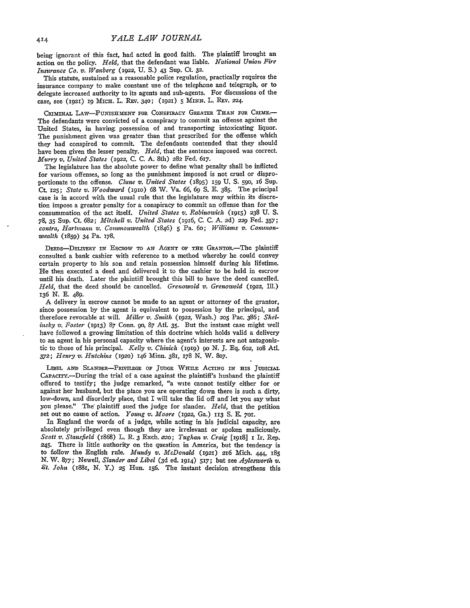being ignorant **of** this fact, had acted in good faith. The plaintiff brought an action on the policy. *Held,* that the defendant was liable. *National Union Fire Insurance Co. v. Wanberg* (1922, **U. S.) 43 Sup.** Ct. **32.**

This statute, sustained as a reasonable police regulation, practically requires the insurance company to make constant use of the telephone and telegraph, or to delegate increased authority to its agents and sub-agents. For discussions of the case, see **(1921) i MIcH.** L. REv. **340;** (1921) **5 MINN.** L. REv. 224.

CRIMINAL LAW-PUNISHMENT FOR CONSPIRACY GREATER THAN FOR CRIME.-The defendants were convicted of a conspiracy to commit an offense against the United States, in having possession of and transporting intoxicating liquor. The punishment given was greater than that prescribed for the offense which they had conspired to commit. The defendants contended that they should have been given the lesser penalty. *Held,* that the sentence imposed was correct. *Murry v. United States* (1922, **C. C. A.** 8th) **282** Fed. 617.

The legislature has the absolute power to define what penalty shall be inflicted for various offenses, so long as the punishment imposed is not cruel or disproportionate to the offense. *Clune v. United States* (895) 159 **U.** S. **590,** 16 Sup. Ct. **125;** *State v. Woodward* **(191o)** 68 W. Va. *66,* 69 **S.** E. 385. The principal case is in accord with the usual rule that the legislature may within its discretion impose a greater penalty for a conspiracy to commit an offense than for the consummation of the act itself. *United States v. Rabinowich* (i915) **238** U. S. 78, 35 Sup. Ct. 682; *Mitchell v. United States* (1916, C. C. A. 2d) **229** Fed. 357; *contra, Hartmann v. Commonwealth* (1846) **5** Pa. 6o; *Williams v. Commonwealth* (859) 34 Pa. 178.

DEEDS-DELIVERY IN ESCROW TO AN AGENT OF THE GRANTOR-The plaintiff consulted a bank cashier with reference to a method whereby he could convey certain property to his son and retain possession himself during his lifetime. He then executed a deed and delivered it to the cashier to be held in escrow until his death. Later the plaintiff brought this bill to have the deed cancelled. *Held,* that the deed should be cancelled. *Grenowold v. Grenowold* (1922, Ill.) 136 **N. E.** 489.

A delivery in escrow cannot be made to an agent or attorney of the grantor, since possession by the agent is equivalent to possession by the principal, and therefore revocable at will. *Miller v. Smith* (1922, Wash.) **205** Pac. 386; *She[ insky v. Foster* (1913) 87 Conn. go, 87 Atl. 35. But the instant case might well have followed a growing limitation of this doctrine which holds valid a delivery to an agent in his personal capacity where the agent's interests are not antagonistic to those of his principal. *Kelly v. Chinich* **(1919) go** N. **J.** Eq. *602,* io8 Atl. *372; Henry v. Hutchins* **(1920)** 146 Minn. 381, **178** N. W. 807.

LIBEL AND SLANDER-PRIVILEGE OF JUDGE WHILE ACTING IN HIS JUDICIAL CAPACrv.-During the trial of a case against the plaintiff's husband the plaintiff offered to testify; the judge remarked, "a wite cannot testify either for or against her husband, but the place you are operating down there is such a dirty, low-down, and disorderly place, that I will take the lid off and let you say what you please." The plaintiff sued the judge for slander, *Held,* that the petition set out no cause of action. *Young v. Moore* **(1922,** Ga.) **1n3 S.** E. **701.**

In England the words of a judge, while acting in his judicial capacity, are absolutely privileged even though they are irrelevant or spoken maliciously. *Scott v. Stansfield* (1868) L. R. 3 Exch. 220; *Tughan v. Craig* [1918] I Ir. Rep. 245. There is little authority on the question in America, but the tendency is to follow the English rule. *Mundy v. McDonald* (1921) 2r6 Mich. 444, 185 *N.* W. 877; Newell, *Slander and Libel* (3d ed. 1914) 517; but see *Aylesworth v.* St. *John* (188r, N. Y.) **25** Hun. i56. The instant decision strengthens this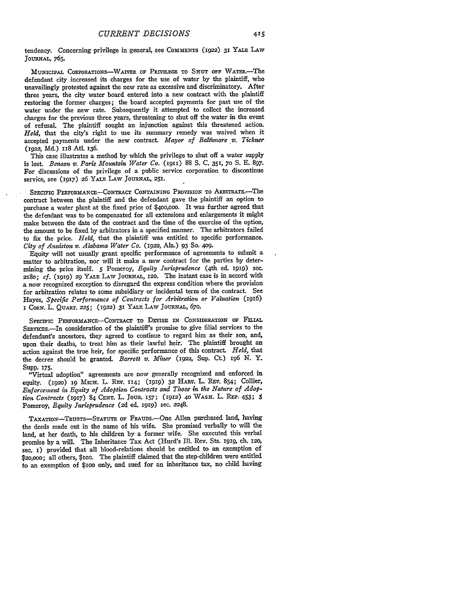tendency. Concerning privilege in general, see **COMMENTS** (I922) **31** YALE LAW **JOURNAL,** 765.

MUNICIPAL CORPORATIONS-WAIVER OF PRIVILEGE TO SHUT OFF WATER.-The defendant city increased its charges for the use of water by the plaintiff, who unavailingly protested against the new rate as excessive and discriminatory. After three years, the city water board entered into a new contract with the plaintiff restoring the former charges; the board accepted payments for past use of the water under the new rate. Subsequently it attempted to collect the increased charges for the previous three years, threatening to shut off the water in the event of refusal. The plaintiff sought an injunction against this threatened action. *Held,* that the city's right to use its summary remedy was waived when it accepted payments under the new contract *Mayor of Baltimore v. Tickner* **(1922,** Md) **1I8** AtL **136.**

This case illustrates a method by which the privilege to shut off a water supply is lost. *Benson 'v. Paris Mountain Water Co. (91I)* 88 **S.** C. 351, **70 S.** E. 897. For discussions of the privilege of a public service corporation to discontinue service, see (1917) 26 YALE LAW JOURNAL, **251.**

SPECIFIC PERFORMANCE-CONTRACT CONTAINING PROVISION TO ARBITRATE.<sup>-The</sup> contract between the plaintiff and the defendant gave the plaintiff an option to purchase a water plant at the fixed price of \$400,0o0. It was further agreed that the defendant was to **be** compensated for all extensions and enlargements it might make between the date of the contract and the time of the exercise of the option, the amount to be fixed **by** arbitrators in a specified manner. The arbitrators failed to fix the price. *Held,* that the plaintiff was entitled to specific performance. *City of Anniston v. Alabam Water Co. (1922,* Ala.) **93** So. 409.

Equity will not usually grant specific performance of agreements to submit a matter to arbitration, nor will it make a new contract for the parties by determining the price itself. 5 Pomeroy, *Equity Jurisprudence* (4th ed. 1919) sec. **2180;** *Cf.* (i919) *29* YALE LAW **JOURNAL,** i2o. The instant case is in accord with a now recognized exception to disregard the express condition where the provision for arbitration relates to some subsidiary or incidental term of the contract. See Hayes, *Specific Performance of Contracts for Arbitration or Valuation (i916)* **I** CORN. L. QUART. **225;** (1922) **31** YALE LAW JOURNAL, **670.**

SPECIFIC PERFORMANCE-CONTRACT TO **DEVISE IN** CONSIDERATION OF **FILIAL** SERVICES.-In consideration of the plaintiff's promise to give filial services to the defendant's ancestors, they agreed to continue to regard him as their son, and, upon their deaths, to treat him as their lawful heir. The plaintiff brought an action against the true heir, for specific performance of this contract. *Held,* that the decree should be granted. *Barrett v. Miner* (1922, Sup. Ct) 196 N. Y. Supp. **175.**

"Virtual adoption" agreements are now generally recognized and enforced in equity. (1920) 19 MICH. L. REV. 114; (1919) 32 HARV. L. REV. 854; Collier, *Enforcement in Equity of Adoption Contracts and Those in the Nature of Adoption Contracts* (1917) 84 **CENT.** L. JoUR. **157;** (1912) **40 WASH.** L. REP. 453; **5** Pomeroy, *Equity Jurisprudence* (2d ed. 1919) sec. 2248.

TAXATIoN-TRuSTS-STATUTE **OF** FRAUDs.-One Allen purchased land, having the deeds made out in the name of his wife. She promised verbally to will the land, at her death, to his children **by** a former wife. She executed this verbal promise **by** a will. The Inheritance Tax Act (Hurd's Ill. Rev. Sts. **igig,** ch. i2o, see. **I)** provided that all blood-relations should be entitled to an exemption of \$2o,ooo; all others, \$ioo. The plaintiff claimed that the step-children were entitled to an exemption of \$ioo only, and sued for an inheritance tax, no child having